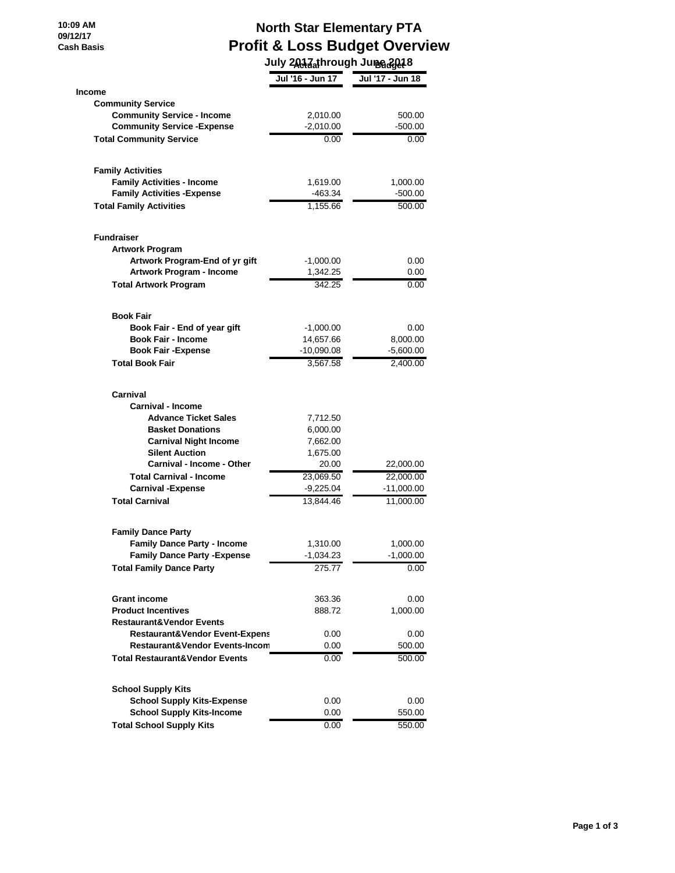## **North Star Elementary PTA Profit & Loss Budget Overview**

 **July 2017 through June 2018 Actual Budget**

|                                                       | Jul '16 - Jun 17  | Jul '17 - Jun 18 |
|-------------------------------------------------------|-------------------|------------------|
| <b>Income</b>                                         |                   |                  |
| <b>Community Service</b>                              |                   |                  |
| <b>Community Service - Income</b>                     | 2,010.00          | 500.00           |
| <b>Community Service - Expense</b>                    | $-2,010.00$       | $-500.00$        |
| <b>Total Community Service</b>                        | 0.00              | 0.00             |
| <b>Family Activities</b>                              |                   |                  |
| <b>Family Activities - Income</b>                     | 1,619.00          | 1,000.00         |
| <b>Family Activities - Expense</b>                    | $-463.34$         | $-500.00$        |
| <b>Total Family Activities</b>                        | 1,155.66          | 500.00           |
| <b>Fundraiser</b>                                     |                   |                  |
| <b>Artwork Program</b>                                |                   |                  |
| Artwork Program-End of yr gift                        | $-1,000.00$       | 0.00             |
| Artwork Program - Income                              | 1,342.25          | 0.00             |
| <b>Total Artwork Program</b>                          | 342.25            | 0.00             |
| <b>Book Fair</b>                                      |                   |                  |
| Book Fair - End of year gift                          | $-1,000.00$       | 0.00             |
| <b>Book Fair - Income</b>                             | 14,657.66         | 8,000.00         |
| <b>Book Fair - Expense</b>                            | $-10,090.08$      | -5,600.00        |
| <b>Total Book Fair</b>                                | 3,567.58          | 2,400.00         |
| Carnival                                              |                   |                  |
| Carnival - Income                                     |                   |                  |
| <b>Advance Ticket Sales</b>                           | 7,712.50          |                  |
| <b>Basket Donations</b>                               | 6,000.00          |                  |
| <b>Carnival Night Income</b><br><b>Silent Auction</b> | 7,662.00          |                  |
| Carnival - Income - Other                             | 1,675.00<br>20.00 | 22,000.00        |
| <b>Total Carnival - Income</b>                        | 23,069.50         | 22,000.00        |
| <b>Carnival - Expense</b>                             | $-9,225.04$       | $-11,000.00$     |
| <b>Total Carnival</b>                                 | 13.844.46         | 11,000.00        |
| <b>Family Dance Party</b>                             |                   |                  |
| <b>Family Dance Party - Income</b>                    | 1,310.00          | 1,000.00         |
| <b>Family Dance Party - Expense</b>                   | -1,034.23         | -1,000.00        |
| Total Family Dance Party                              | 275.77            | 0.00             |
| <b>Grant income</b>                                   | 363.36            | 0.00             |
| <b>Product Incentives</b>                             | 888.72            | 1,000.00         |
| <b>Restaurant&amp;Vendor Events</b>                   |                   |                  |
| <b>Restaurant&amp;Vendor Event-Expens</b>             | 0.00              | 0.00             |
| <b>Restaurant&amp;Vendor Events-Incom</b>             | $0.00\,$          | 500.00           |
| <b>Total Restaurant&amp;Vendor Events</b>             | 0.00              | 500.00           |
| <b>School Supply Kits</b>                             |                   |                  |
| <b>School Supply Kits-Expense</b>                     | 0.00              | 0.00             |
| <b>School Supply Kits-Income</b>                      | 0.00              | 550.00           |
| <b>Total School Supply Kits</b>                       | 0.00              | 550.00           |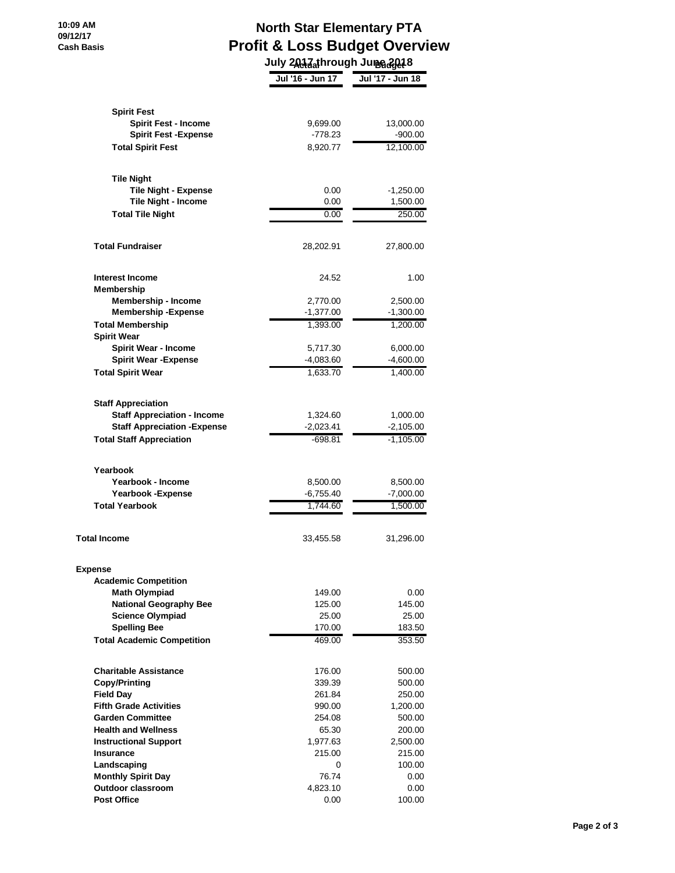## **North Star Elementary PTA Profit & Loss Budget Overview July 2017 through June 2018 Actual Budget**

|                                                          | Jul '16 - Jun 17 | Jul '17 - Jun 18 |
|----------------------------------------------------------|------------------|------------------|
|                                                          |                  |                  |
| <b>Spirit Fest</b>                                       |                  |                  |
| <b>Spirit Fest - Income</b>                              | 9,699.00         | 13,000.00        |
| <b>Spirit Fest -Expense</b>                              | -778.23          | $-900.00$        |
| <b>Total Spirit Fest</b>                                 | 8.920.77         | 12,100.00        |
|                                                          |                  |                  |
| <b>Tile Night</b>                                        |                  |                  |
| <b>Tile Night - Expense</b>                              | 0.00             | $-1,250.00$      |
| <b>Tile Night - Income</b>                               | 0.00             | 1,500.00         |
| <b>Total Tile Night</b>                                  | 0.00             | 250.00           |
| <b>Total Fundraiser</b>                                  | 28,202.91        | 27,800.00        |
|                                                          |                  |                  |
| <b>Interest Income</b>                                   | 24.52            | 1.00             |
| <b>Membership</b><br><b>Membership - Income</b>          | 2,770.00         | 2,500.00         |
| <b>Membership-Expense</b>                                | $-1,377.00$      | $-1,300.00$      |
| <b>Total Membership</b>                                  | 1,393.00         | 1,200.00         |
| <b>Spirit Wear</b>                                       |                  |                  |
| <b>Spirit Wear - Income</b>                              | 5,717.30         | 6,000.00         |
| <b>Spirit Wear - Expense</b>                             | -4,083.60        | $-4,600.00$      |
| <b>Total Spirit Wear</b>                                 | 1,633.70         | 1,400.00         |
| <b>Staff Appreciation</b>                                |                  |                  |
| <b>Staff Appreciation - Income</b>                       | 1,324.60         | 1,000.00         |
| <b>Staff Appreciation - Expense</b>                      | $-2,023.41$      | $-2,105.00$      |
| <b>Total Staff Appreciation</b>                          | -698.81          | $-1,105.00$      |
| Yearbook                                                 |                  |                  |
| Yearbook - Income                                        | 8,500.00         | 8,500.00         |
| <b>Yearbook -Expense</b>                                 | $-6,755.40$      | $-7,000.00$      |
| <b>Total Yearbook</b>                                    | 1,744.60         | 1,500.00         |
|                                                          |                  |                  |
| <b>Total Income</b>                                      | 33,455.58        | 31,296.00        |
| <b>Expense</b>                                           |                  |                  |
| <b>Academic Competition</b>                              |                  |                  |
| <b>Math Olympiad</b>                                     | 149.00           | 0.00             |
| <b>National Geography Bee</b>                            | 125.00           | 145.00           |
| <b>Science Olympiad</b>                                  | 25.00            | 25.00            |
| <b>Spelling Bee</b><br><b>Total Academic Competition</b> | 170.00<br>469.00 | 183.50<br>353.50 |
|                                                          |                  |                  |
| <b>Charitable Assistance</b>                             | 176.00           | 500.00           |
| <b>Copy/Printing</b>                                     | 339.39           | 500.00           |
| <b>Field Day</b>                                         | 261.84           | 250.00           |
| <b>Fifth Grade Activities</b><br><b>Garden Committee</b> | 990.00           | 1,200.00         |
| <b>Health and Wellness</b>                               | 254.08<br>65.30  | 500.00<br>200.00 |
| <b>Instructional Support</b>                             | 1,977.63         | 2,500.00         |
| <b>Insurance</b>                                         | 215.00           | 215.00           |
| Landscaping                                              | 0                | 100.00           |
| <b>Monthly Spirit Day</b>                                | 76.74            | 0.00             |
| <b>Outdoor classroom</b>                                 | 4,823.10         | 0.00             |
| <b>Post Office</b>                                       | 0.00             | 100.00           |